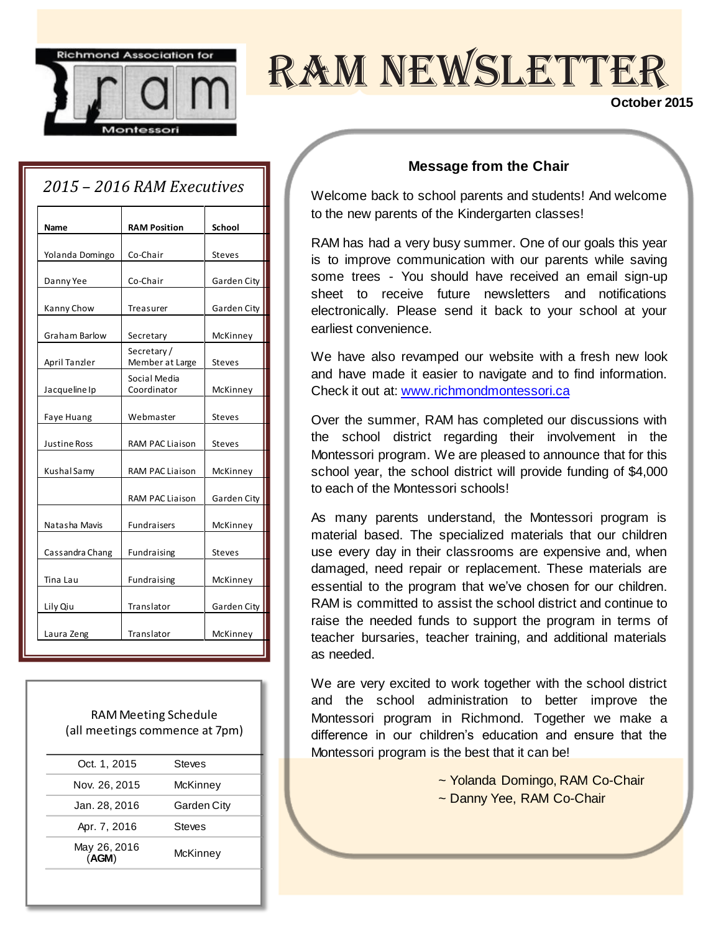

# RAM NEWSLETTER

#### **October 2015**

### *2015 – 2016 RAM Executives*

| Name                | <b>RAM Position</b>           | School        |  |
|---------------------|-------------------------------|---------------|--|
| Yolanda Domingo     | Co-Chair                      | <b>Steves</b> |  |
| Danny Yee           | Co-Chair                      | Garden City   |  |
| Kanny Chow          | Treasurer                     | Garden City   |  |
| Graham Barlow       | Secretary                     | McKinney      |  |
| April Tanzler       | Secretary/<br>Member at Large | <b>Steves</b> |  |
| Jacqueline Ip       | Social Media<br>Coordinator   | McKinney      |  |
| Faye Huang          | Webmaster                     | <b>Steves</b> |  |
| <b>Justine Ross</b> | <b>RAM PAC Liaison</b>        | <b>Steves</b> |  |
| Kushal Samy         | <b>RAM PAC Liaison</b>        | McKinney      |  |
|                     | <b>RAM PAC Liaison</b>        | Garden City   |  |
| Natasha Mavis       | <b>Fundraisers</b>            | McKinney      |  |
| Cassandra Chang     | Fundraising                   | <b>Steves</b> |  |
| Tina Lau            | Fundraising                   | McKinney      |  |
| Lily Qiu            | Translator                    | Garden City   |  |
| Laura Zeng          | Translator                    | McKinney      |  |
|                     |                               |               |  |

RAM Meeting Schedule (all meetings commence at 7pm)

| Oct. 1, 2015          | Steves      |
|-----------------------|-------------|
| Nov. 26, 2015         | McKinney    |
| Jan. 28, 2016         | Garden City |
| Apr. 7, 2016          | Steves      |
| May 26, 2016<br>(AGM) | McKinney    |
|                       |             |

#### **Message from the Chair**

Welcome back to school parents and students! And welcome to the new parents of the Kindergarten classes!

RAM has had a very busy summer. One of our goals this year is to improve communication with our parents while saving some trees - You should have received an email sign-up sheet to receive future newsletters and notifications electronically. Please send it back to your school at your earliest convenience.

We have also revamped our website with a fresh new look and have made it easier to navigate and to find information. Check it out at[: www.richmondmontessori.ca](http://www.richmondmontessori.ca/)

Over the summer, RAM has completed our discussions with the school district regarding their involvement in the Montessori program. We are pleased to announce that for this school year, the school district will provide funding of \$4,000 to each of the Montessori schools!

As many parents understand, the Montessori program is material based. The specialized materials that our children use every day in their classrooms are expensive and, when damaged, need repair or replacement. These materials are essential to the program that we've chosen for our children. RAM is committed to assist the school district and continue to raise the needed funds to support the program in terms of teacher bursaries, teacher training, and additional materials as needed.

We are very excited to work together with the school district and the school administration to better improve the Montessori program in Richmond. Together we make a difference in our children's education and ensure that the Montessori program is the best that it can be!

~ Yolanda Domingo, RAM Co-Chair

~ Danny Yee, RAM Co-Chair